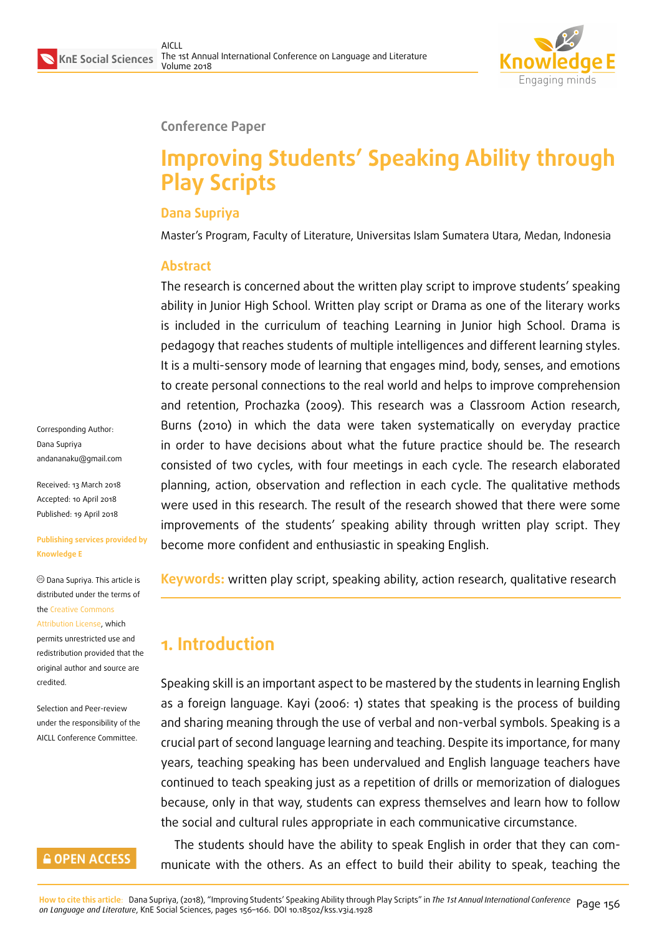

#### **Conference Paper**

# **Improving Students' Speaking Ability through Play Scripts**

## **Dana Supriya**

Master's Program, Faculty of Literature, Universitas Islam Sumatera Utara, Medan, Indonesia

# **Abstract**

The research is concerned about the written play script to improve students' speaking ability in Junior High School. Written play script or Drama as one of the literary works is included in the curriculum of teaching Learning in Junior high School. Drama is pedagogy that reaches students of multiple intelligences and different learning styles. It is a multi-sensory mode of learning that engages mind, body, senses, and emotions to create personal connections to the real world and helps to improve comprehension and retention, Prochazka (2009). This research was a Classroom Action research, Burns (2010) in which the data were taken systematically on everyday practice in order to have decisions about what the future practice should be. The research consisted of two cycles, with four meetings in each cycle. The research elaborated planning, action, observation and reflection in each cycle. The qualitative methods were used in this research. The result of the research showed that there were some improvements of the students' speaking ability through written play script. They become more confident and enthusiastic in speaking English.

**Keywords:** written play script, speaking ability, action research, qualitative research

# **1. Introduction**

Speaking skill is an important aspect to be mastered by the students in learning English as a foreign language. Kayi (2006: 1) states that speaking is the process of building and sharing meaning through the use of verbal and non-verbal symbols. Speaking is a crucial part of second language learning and teaching. Despite its importance, for many years, teaching speaking has been undervalued and English language teachers have continued to teach speaking just as a repetition of drills or memorization of dialogues because, only in that way, students can express themselves and learn how to follow the social and cultural rules appropriate in each communicative circumstance.

The students should have the ability to speak English in order that they can communicate with the others. As an effect to build their ability to speak, teaching the

<mark>How to cite this article</mark>: Dana Supriya, (2018), "Improving Students' Speaking Ability through Play Scripts" in *The 1st Annual International Conference* Page 156<br>*on Language and Literature,* KnE Social Sciences, p

Corresponding Author: Dana Supriya andananaku@gmail.com

Received: 13 March 2018 Accepted: 10 April 2018 [Published: 19 April 2018](mailto:andananaku@gmail.com)

#### **Publishing services provided by Knowledge E**

Dana Supriya. This article is distributed under the terms of the Creative Commons Attribution License, which permits unrestricted use and redistribution provided that the ori[ginal author and sou](https://creativecommons.org/licenses/by/4.0/)rce are

Selection and Peer-review under the responsibility of the AICLL Conference Committee.

[credited.](https://creativecommons.org/licenses/by/4.0/)

## **GOPEN ACCESS**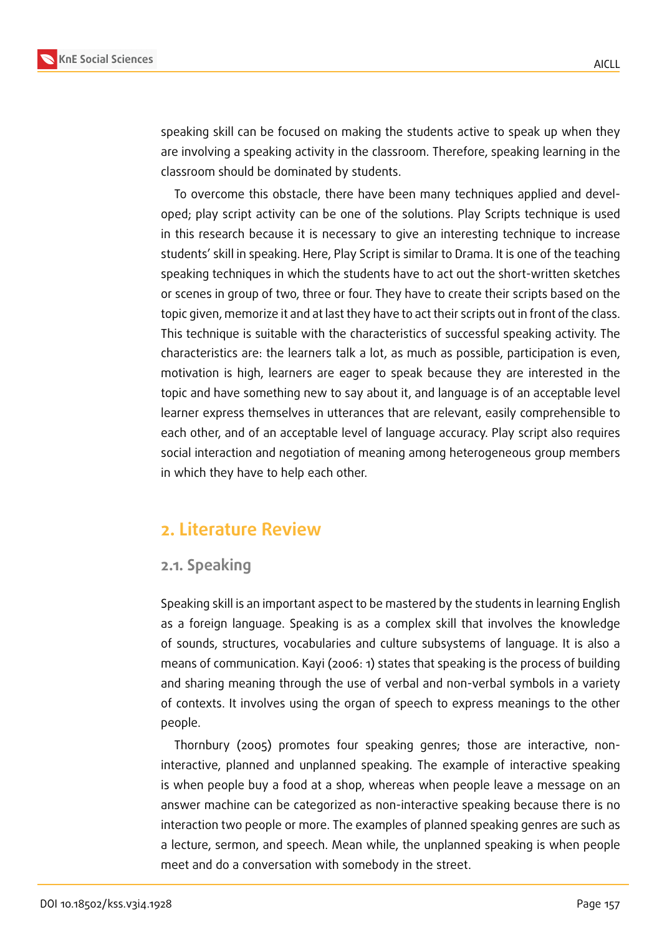

speaking skill can be focused on making the students active to speak up when they are involving a speaking activity in the classroom. Therefore, speaking learning in the classroom should be dominated by students.

To overcome this obstacle, there have been many techniques applied and developed; play script activity can be one of the solutions. Play Scripts technique is used in this research because it is necessary to give an interesting technique to increase students' skill in speaking. Here, Play Script is similar to Drama. It is one of the teaching speaking techniques in which the students have to act out the short-written sketches or scenes in group of two, three or four. They have to create their scripts based on the topic given, memorize it and at last they have to act their scripts out in front of the class. This technique is suitable with the characteristics of successful speaking activity. The characteristics are: the learners talk a lot, as much as possible, participation is even, motivation is high, learners are eager to speak because they are interested in the topic and have something new to say about it, and language is of an acceptable level learner express themselves in utterances that are relevant, easily comprehensible to each other, and of an acceptable level of language accuracy. Play script also requires social interaction and negotiation of meaning among heterogeneous group members in which they have to help each other.

# **2. Literature Review**

## **2.1. Speaking**

Speaking skill is an important aspect to be mastered by the students in learning English as a foreign language. Speaking is as a complex skill that involves the knowledge of sounds, structures, vocabularies and culture subsystems of language. It is also a means of communication. Kayi (2006: 1) states that speaking is the process of building and sharing meaning through the use of verbal and non-verbal symbols in a variety of contexts. It involves using the organ of speech to express meanings to the other people.

Thornbury (2005) promotes four speaking genres; those are interactive, noninteractive, planned and unplanned speaking. The example of interactive speaking is when people buy a food at a shop, whereas when people leave a message on an answer machine can be categorized as non-interactive speaking because there is no interaction two people or more. The examples of planned speaking genres are such as a lecture, sermon, and speech. Mean while, the unplanned speaking is when people meet and do a conversation with somebody in the street.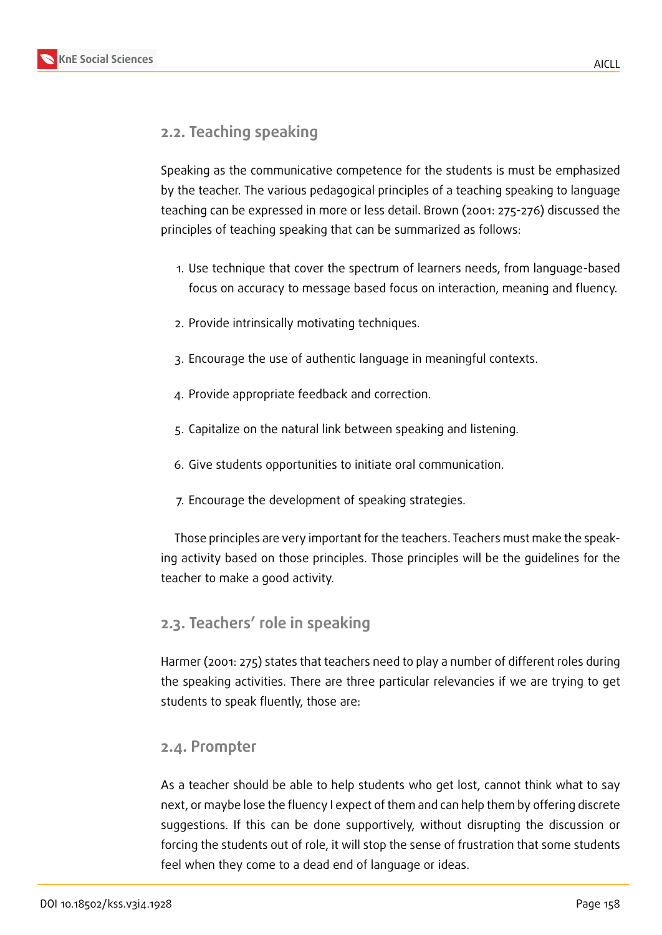



# **2.2. Teaching speaking**

Speaking as the communicative competence for the students is must be emphasized by the teacher. The various pedagogical principles of a teaching speaking to language teaching can be expressed in more or less detail. Brown (2001: 275-276) discussed the principles of teaching speaking that can be summarized as follows:

- 1. Use technique that cover the spectrum of learners needs, from language-based focus on accuracy to message based focus on interaction, meaning and fluency.
- 2. Provide intrinsically motivating techniques.
- 3. Encourage the use of authentic language in meaningful contexts.
- 4. Provide appropriate feedback and correction.
- 5. Capitalize on the natural link between speaking and listening.
- 6. Give students opportunities to initiate oral communication.
- 7. Encourage the development of speaking strategies.

Those principles are very important for the teachers. Teachers must make the speaking activity based on those principles. Those principles will be the guidelines for the teacher to make a good activity.

# **2.3. Teachers' role in speaking**

Harmer (2001: 275) states that teachers need to play a number of different roles during the speaking activities. There are three particular relevancies if we are trying to get students to speak fluently, those are:

## **2.4. Prompter**

As a teacher should be able to help students who get lost, cannot think what to say next, or maybe lose the fluency I expect of them and can help them by offering discrete suggestions. If this can be done supportively, without disrupting the discussion or forcing the students out of role, it will stop the sense of frustration that some students feel when they come to a dead end of language or ideas.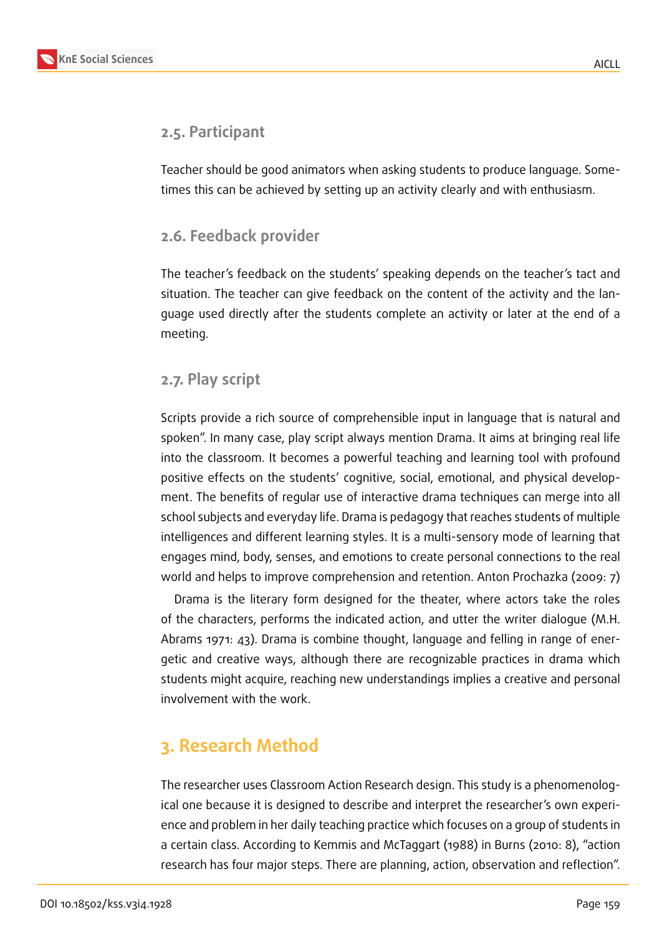

# **2.5. Participant**

Teacher should be good animators when asking students to produce language. Sometimes this can be achieved by setting up an activity clearly and with enthusiasm.

# **2.6. Feedback provider**

The teacher's feedback on the students' speaking depends on the teacher's tact and situation. The teacher can give feedback on the content of the activity and the language used directly after the students complete an activity or later at the end of a meeting.

# **2.7. Play script**

Scripts provide a rich source of comprehensible input in language that is natural and spoken". In many case, play script always mention Drama. It aims at bringing real life into the classroom. It becomes a powerful teaching and learning tool with profound positive effects on the students' cognitive, social, emotional, and physical development. The benefits of regular use of interactive drama techniques can merge into all school subjects and everyday life. Drama is pedagogy that reaches students of multiple intelligences and different learning styles. It is a multi-sensory mode of learning that engages mind, body, senses, and emotions to create personal connections to the real world and helps to improve comprehension and retention. Anton Prochazka (2009: 7)

Drama is the literary form designed for the theater, where actors take the roles of the characters, performs the indicated action, and utter the writer dialogue (M.H. Abrams 1971: 43). Drama is combine thought, language and felling in range of energetic and creative ways, although there are recognizable practices in drama which students might acquire, reaching new understandings implies a creative and personal involvement with the work.

# **3. Research Method**

The researcher uses Classroom Action Research design. This study is a phenomenological one because it is designed to describe and interpret the researcher's own experience and problem in her daily teaching practice which focuses on a group of students in a certain class. According to Kemmis and McTaggart (1988) in Burns (2010: 8), "action research has four major steps. There are planning, action, observation and reflection".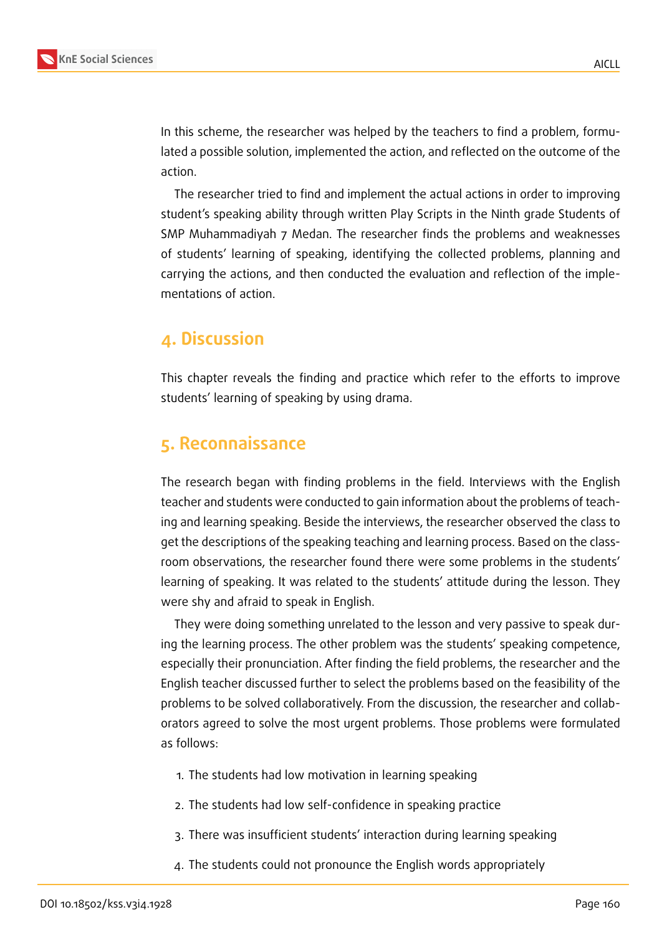

In this scheme, the researcher was helped by the teachers to find a problem, formulated a possible solution, implemented the action, and reflected on the outcome of the action.

The researcher tried to find and implement the actual actions in order to improving student's speaking ability through written Play Scripts in the Ninth grade Students of SMP Muhammadiyah 7 Medan. The researcher finds the problems and weaknesses of students' learning of speaking, identifying the collected problems, planning and carrying the actions, and then conducted the evaluation and reflection of the implementations of action.

# **4. Discussion**

This chapter reveals the finding and practice which refer to the efforts to improve students' learning of speaking by using drama.

# **5. Reconnaissance**

The research began with finding problems in the field. Interviews with the English teacher and students were conducted to gain information about the problems of teaching and learning speaking. Beside the interviews, the researcher observed the class to get the descriptions of the speaking teaching and learning process. Based on the classroom observations, the researcher found there were some problems in the students' learning of speaking. It was related to the students' attitude during the lesson. They were shy and afraid to speak in English.

They were doing something unrelated to the lesson and very passive to speak during the learning process. The other problem was the students' speaking competence, especially their pronunciation. After finding the field problems, the researcher and the English teacher discussed further to select the problems based on the feasibility of the problems to be solved collaboratively. From the discussion, the researcher and collaborators agreed to solve the most urgent problems. Those problems were formulated as follows:

- 1. The students had low motivation in learning speaking
- 2. The students had low self-confidence in speaking practice
- 3. There was insufficient students' interaction during learning speaking
- 4. The students could not pronounce the English words appropriately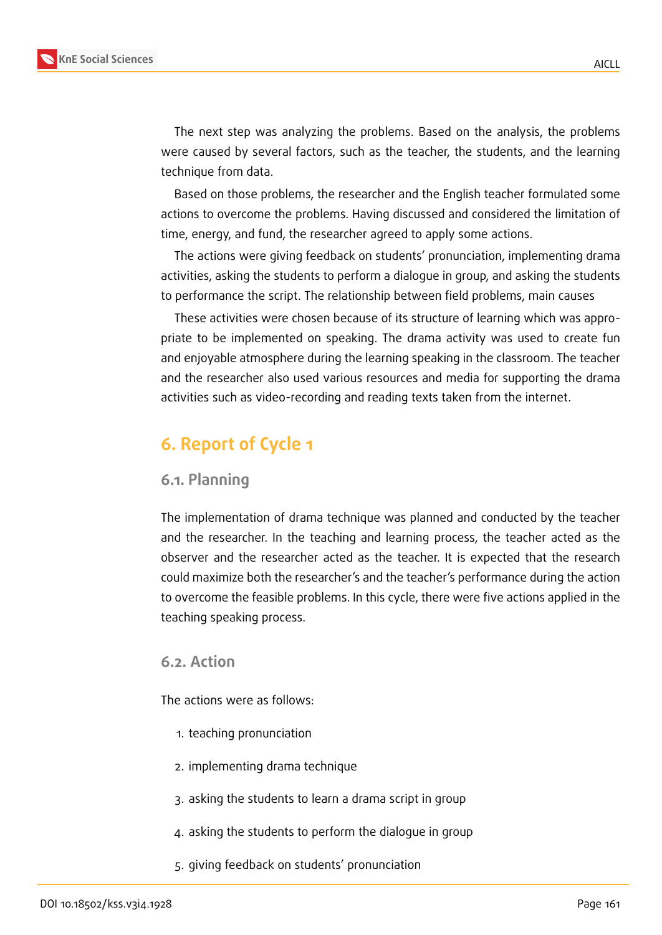

The next step was analyzing the problems. Based on the analysis, the problems were caused by several factors, such as the teacher, the students, and the learning technique from data.

Based on those problems, the researcher and the English teacher formulated some actions to overcome the problems. Having discussed and considered the limitation of time, energy, and fund, the researcher agreed to apply some actions.

The actions were giving feedback on students' pronunciation, implementing drama activities, asking the students to perform a dialogue in group, and asking the students to performance the script. The relationship between field problems, main causes

These activities were chosen because of its structure of learning which was appropriate to be implemented on speaking. The drama activity was used to create fun and enjoyable atmosphere during the learning speaking in the classroom. The teacher and the researcher also used various resources and media for supporting the drama activities such as video-recording and reading texts taken from the internet.

# **6. Report of Cycle 1**

#### **6.1. Planning**

The implementation of drama technique was planned and conducted by the teacher and the researcher. In the teaching and learning process, the teacher acted as the observer and the researcher acted as the teacher. It is expected that the research could maximize both the researcher's and the teacher's performance during the action to overcome the feasible problems. In this cycle, there were five actions applied in the teaching speaking process.

### **6.2. Action**

The actions were as follows:

- 1. teaching pronunciation
- 2. implementing drama technique
- 3. asking the students to learn a drama script in group
- 4. asking the students to perform the dialogue in group
- 5. giving feedback on students' pronunciation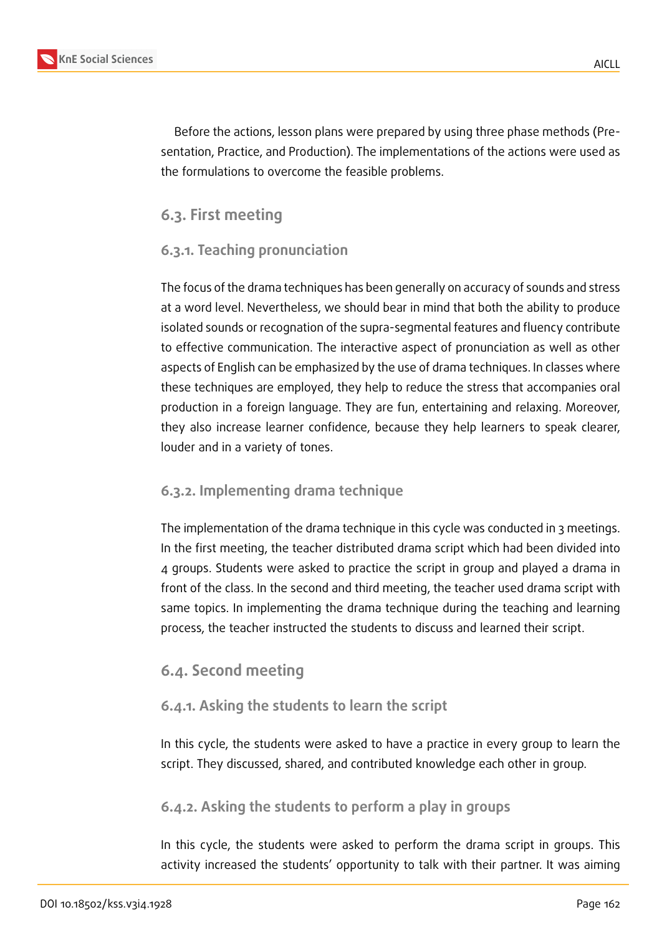

Before the actions, lesson plans were prepared by using three phase methods (Presentation, Practice, and Production). The implementations of the actions were used as the formulations to overcome the feasible problems.

# **6.3. First meeting**

# **6.3.1. Teaching pronunciation**

The focus of the drama techniques has been generally on accuracy of sounds and stress at a word level. Nevertheless, we should bear in mind that both the ability to produce isolated sounds or recognation of the supra-segmental features and fluency contribute to effective communication. The interactive aspect of pronunciation as well as other aspects of English can be emphasized by the use of drama techniques. In classes where these techniques are employed, they help to reduce the stress that accompanies oral production in a foreign language. They are fun, entertaining and relaxing. Moreover, they also increase learner confidence, because they help learners to speak clearer, louder and in a variety of tones.

# **6.3.2. Implementing drama technique**

The implementation of the drama technique in this cycle was conducted in 3 meetings. In the first meeting, the teacher distributed drama script which had been divided into 4 groups. Students were asked to practice the script in group and played a drama in front of the class. In the second and third meeting, the teacher used drama script with same topics. In implementing the drama technique during the teaching and learning process, the teacher instructed the students to discuss and learned their script.

# **6.4. Second meeting**

# **6.4.1. Asking the students to learn the script**

In this cycle, the students were asked to have a practice in every group to learn the script. They discussed, shared, and contributed knowledge each other in group.

# **6.4.2. Asking the students to perform a play in groups**

In this cycle, the students were asked to perform the drama script in groups. This activity increased the students' opportunity to talk with their partner. It was aiming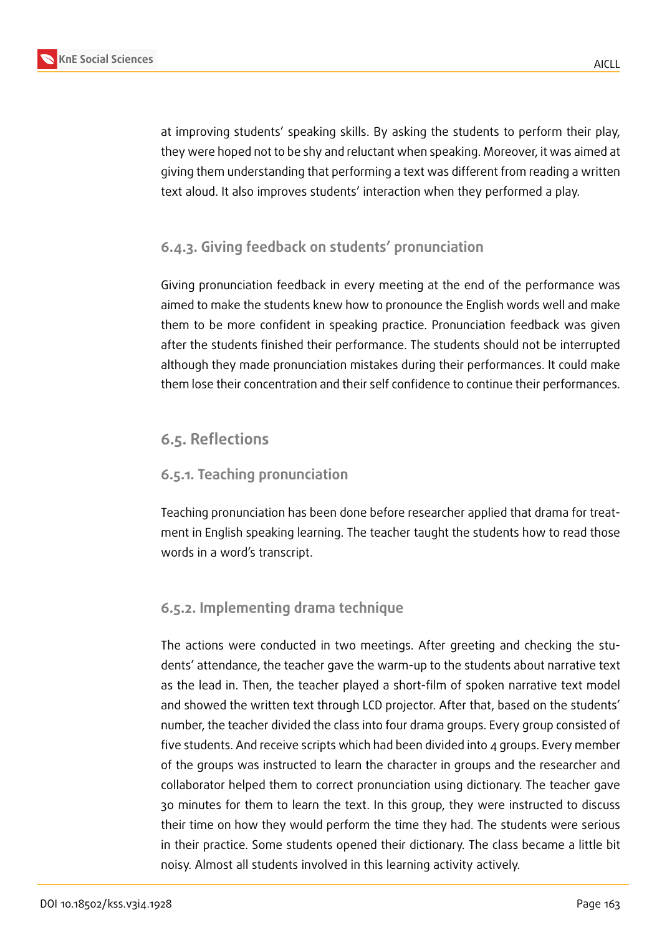

at improving students' speaking skills. By asking the students to perform their play, they were hoped not to be shy and reluctant when speaking. Moreover, it was aimed at giving them understanding that performing a text was different from reading a written text aloud. It also improves students' interaction when they performed a play.

# **6.4.3. Giving feedback on students' pronunciation**

Giving pronunciation feedback in every meeting at the end of the performance was aimed to make the students knew how to pronounce the English words well and make them to be more confident in speaking practice. Pronunciation feedback was given after the students finished their performance. The students should not be interrupted although they made pronunciation mistakes during their performances. It could make them lose their concentration and their self confidence to continue their performances.

# **6.5. Reflections**

## **6.5.1. Teaching pronunciation**

Teaching pronunciation has been done before researcher applied that drama for treatment in English speaking learning. The teacher taught the students how to read those words in a word's transcript.

## **6.5.2. Implementing drama technique**

The actions were conducted in two meetings. After greeting and checking the students' attendance, the teacher gave the warm-up to the students about narrative text as the lead in. Then, the teacher played a short-film of spoken narrative text model and showed the written text through LCD projector. After that, based on the students' number, the teacher divided the class into four drama groups. Every group consisted of five students. And receive scripts which had been divided into 4 groups. Every member of the groups was instructed to learn the character in groups and the researcher and collaborator helped them to correct pronunciation using dictionary. The teacher gave 30 minutes for them to learn the text. In this group, they were instructed to discuss their time on how they would perform the time they had. The students were serious in their practice. Some students opened their dictionary. The class became a little bit noisy. Almost all students involved in this learning activity actively.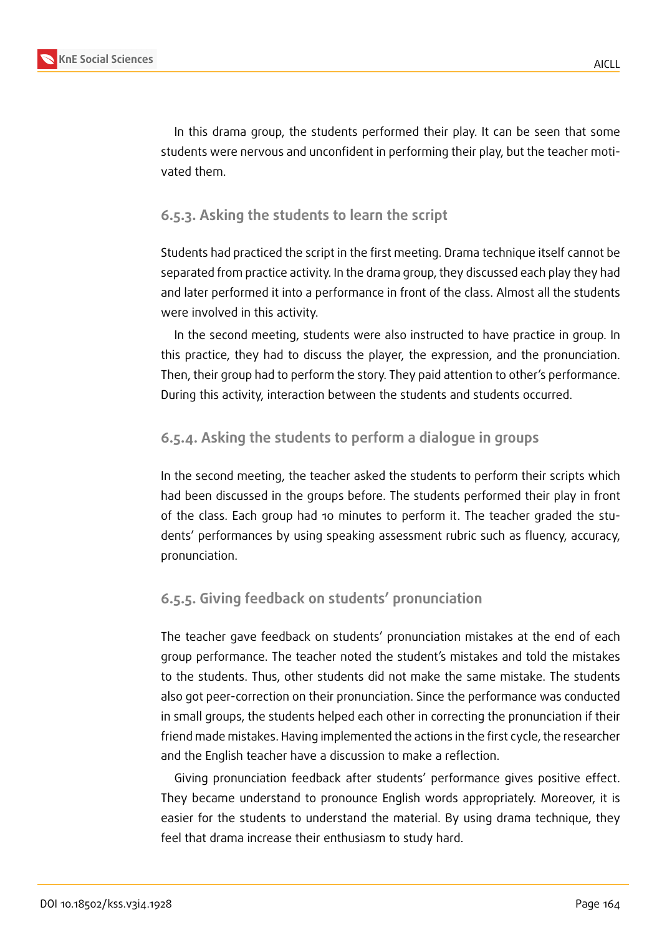

In this drama group, the students performed their play. It can be seen that some students were nervous and unconfident in performing their play, but the teacher motivated them.

## **6.5.3. Asking the students to learn the script**

Students had practiced the script in the first meeting. Drama technique itself cannot be separated from practice activity. In the drama group, they discussed each play they had and later performed it into a performance in front of the class. Almost all the students were involved in this activity.

In the second meeting, students were also instructed to have practice in group. In this practice, they had to discuss the player, the expression, and the pronunciation. Then, their group had to perform the story. They paid attention to other's performance. During this activity, interaction between the students and students occurred.

# **6.5.4. Asking the students to perform a dialogue in groups**

In the second meeting, the teacher asked the students to perform their scripts which had been discussed in the groups before. The students performed their play in front of the class. Each group had 10 minutes to perform it. The teacher graded the students' performances by using speaking assessment rubric such as fluency, accuracy, pronunciation.

# **6.5.5. Giving feedback on students' pronunciation**

The teacher gave feedback on students' pronunciation mistakes at the end of each group performance. The teacher noted the student's mistakes and told the mistakes to the students. Thus, other students did not make the same mistake. The students also got peer-correction on their pronunciation. Since the performance was conducted in small groups, the students helped each other in correcting the pronunciation if their friend made mistakes. Having implemented the actions in the first cycle, the researcher and the English teacher have a discussion to make a reflection.

Giving pronunciation feedback after students' performance gives positive effect. They became understand to pronounce English words appropriately. Moreover, it is easier for the students to understand the material. By using drama technique, they feel that drama increase their enthusiasm to study hard.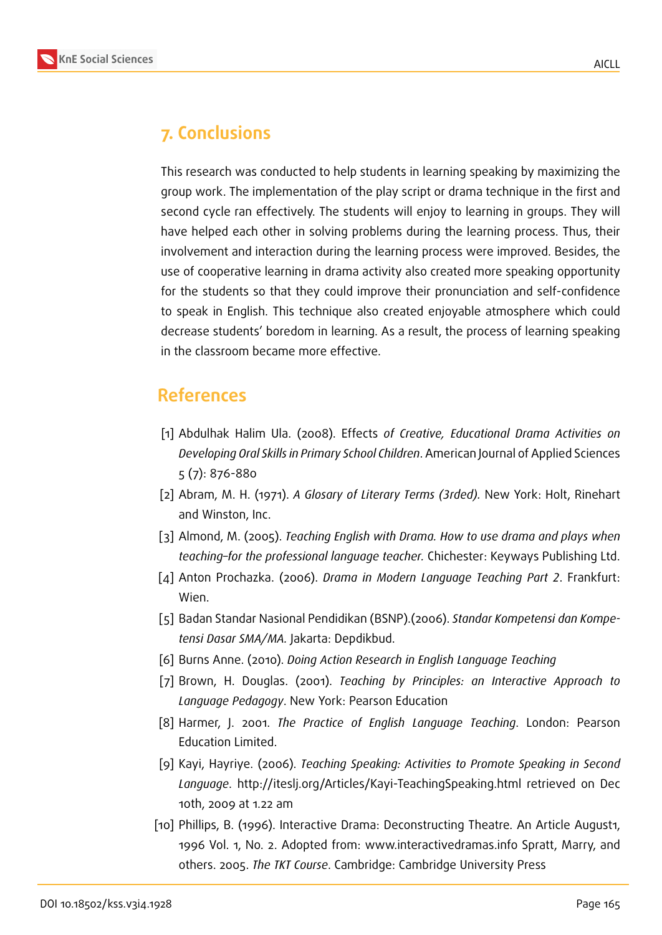

# **7. Conclusions**

This research was conducted to help students in learning speaking by maximizing the group work. The implementation of the play script or drama technique in the first and second cycle ran effectively. The students will enjoy to learning in groups. They will have helped each other in solving problems during the learning process. Thus, their involvement and interaction during the learning process were improved. Besides, the use of cooperative learning in drama activity also created more speaking opportunity for the students so that they could improve their pronunciation and self-confidence to speak in English. This technique also created enjoyable atmosphere which could decrease students' boredom in learning. As a result, the process of learning speaking in the classroom became more effective.

# **References**

- [1] Abdulhak Halim Ula. (2008). Effects *of Creative, Educational Drama Activities on Developing Oral Skills in Primary School Children*. American Journal of Applied Sciences 5 (7): 876-880
- [2] Abram, M. H. (1971). *A Glosary of Literary Terms (3rded).* New York: Holt, Rinehart and Winston, Inc.
- [3] Almond, M. (2005). *Teaching English with Drama. How to use drama and plays when teaching–for the professional language teacher.* Chichester: Keyways Publishing Ltd.
- [4] Anton Prochazka. (2006). *Drama in Modern Language Teaching Part 2*. Frankfurt: Wien.
- [5] Badan Standar Nasional Pendidikan (BSNP).(2006). *Standar Kompetensi dan Kompetensi Dasar SMA/MA.* Jakarta: Depdikbud.
- [6] Burns Anne. (2010). *Doing Action Research in English Language Teaching*
- [7] Brown, H. Douglas. (2001). *Teaching by Principles: an Interactive Approach to Language Pedagogy*. New York: Pearson Education
- [8] Harmer, J. 2001. *The Practice of English Language Teaching*. London: Pearson Education Limited.
- [9] Kayi, Hayriye. (2006). *Teaching Speaking: Activities to Promote Speaking in Second Language*. http://iteslj.org/Articles/Kayi-TeachingSpeaking.html retrieved on Dec 10th, 2009 at 1.22 am
- [10] Phillips, B. (1996). Interactive Drama: Deconstructing Theatre. An Article August1, 1996 Vol. 1, No. 2. Adopted from: www.interactivedramas.info Spratt, Marry, and others. 2005. *The TKT Course*. Cambridge: Cambridge University Press